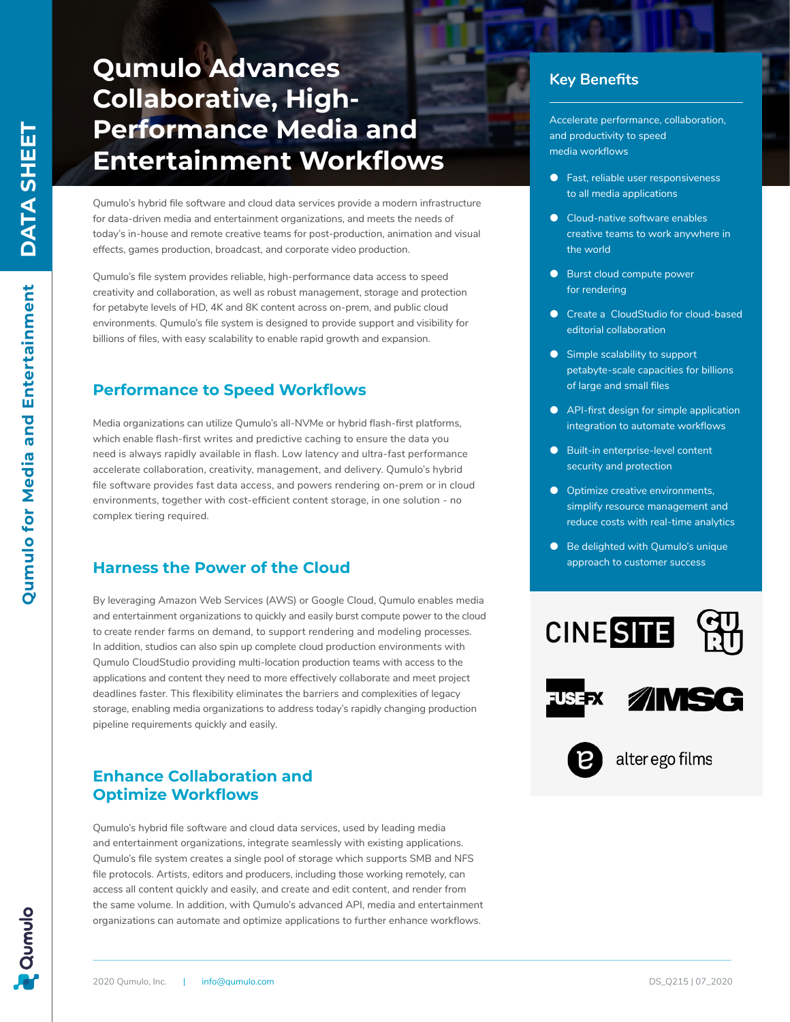# **Qumulo Advances Collaborative, High-Performance Media and Entertainment Workflows**

Qumulo's hybrid file software and cloud data services provide a modern infrastructure for data-driven media and entertainment organizations, and meets the needs of today's in-house and remote creative teams for post-production, animation and visual effects, games production, broadcast, and corporate video production.

Qumulo's file system provides reliable, high-performance data access to speed creativity and collaboration, as well as robust management, storage and protection for petabyte levels of HD, 4K and 8K content across on-prem, and public cloud environments. Qumulo's file system is designed to provide support and visibility for billions of files, with easy scalability to enable rapid growth and expansion.

## **Performance to Speed Workflows**

Media organizations can utilize Qumulo's all-NVMe or hybrid flash-first platforms, which enable flash-first writes and predictive caching to ensure the data you need is always rapidly available in flash. Low latency and ultra-fast performance accelerate collaboration, creativity, management, and delivery. Qumulo's hybrid file software provides fast data access, and powers rendering on-prem or in cloud environments, together with cost-efficient content storage, in one solution - no complex tiering required.

# **Harness the Power of the Cloud**

By leveraging Amazon Web Services (AWS) or Google Cloud, Qumulo enables media and entertainment organizations to quickly and easily burst compute power to the cloud to create render farms on demand, to support rendering and modeling processes. In addition, studios can also spin up complete cloud production environments with Qumulo CloudStudio providing multi-location production teams with access to the applications and content they need to more effectively collaborate and meet project deadlines faster. This flexibility eliminates the barriers and complexities of legacy storage, enabling media organizations to address today's rapidly changing production pipeline requirements quickly and easily.

# **Enhance Collaboration and Optimize Workflows**

Qumulo's hybrid file software and cloud data services, used by leading media and entertainment organizations, integrate seamlessly with existing applications. Qumulo's file system creates a single pool of storage which supports SMB and NFS file protocols. Artists, editors and producers, including those working remotely, can access all content quickly and easily, and create and edit content, and render from the same volume. In addition, with Qumulo's advanced API, media and entertainment organizations can automate and optimize applications to further enhance workflows.

# **Key Benefits**

Accelerate performance, collaboration, and productivity to speed media workflows

- **•** Fast, reliable user responsiveness to all media applications
- Cloud-native software enables creative teams to work anywhere in the world
- Burst cloud compute power for rendering
- Create a CloudStudio for cloud-based editorial collaboration
- $\bullet$  Simple scalability to support petabyte-scale capacities for billions of large and small files
- **•** API-first design for simple application integration to automate workflows
- Built-in enterprise-level content security and protection
- Optimize creative environments, simplify resource management and reduce costs with real-time analytics
- **•** Be delighted with Qumulo's unique approach to customer success









alter ego films